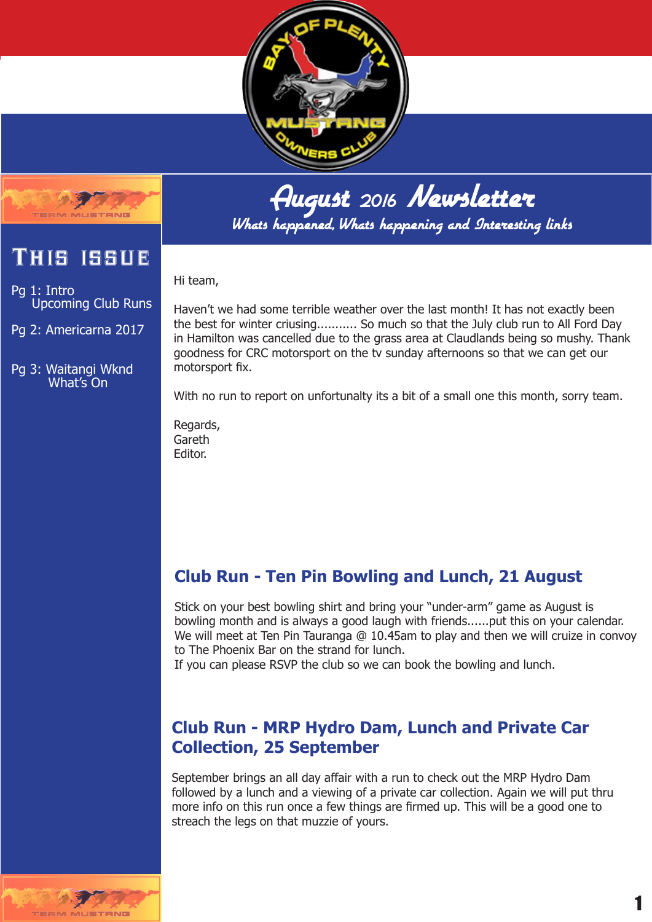



## August <sup>2016</sup> Newsletter

Whats happened, Whats happening and Interesting links

#### Hi team,

Pg 1: Intro Upcoming Club Runs

This issue

Pg 2: Americarna 2017

Pg 3: Waitangi Wknd What's On

Haven't we had some terrible weather over the last month! It has not exactly been the best for winter criusing........... So much so that the July club run to All Ford Day in Hamilton was cancelled due to the grass area at Claudlands being so mushy. Thank goodness for CRC motorsport on the tv sunday afternoons so that we can get our motorsport fix.

With no run to report on unfortunalty its a bit of a small one this month, sorry team.

Regards, Gareth Editor.

### **Club Run - Ten Pin Bowling and Lunch, 21 August**

Stick on your best bowling shirt and bring your "under-arm" game as August is bowling month and is always a good laugh with friends......put this on your calendar. We will meet at Ten Pin Tauranga @ 10.45am to play and then we will cruize in convoy to The Phoenix Bar on the strand for lunch.

If you can please RSVP the club so we can book the bowling and lunch.

#### **Club Run - MRP Hydro Dam, Lunch and Private Car Collection, 25 September**

September brings an all day affair with a run to check out the MRP Hydro Dam followed by a lunch and a viewing of a private car collection. Again we will put thru more info on this run once a few things are firmed up. This will be a good one to streach the legs on that muzzie of yours.

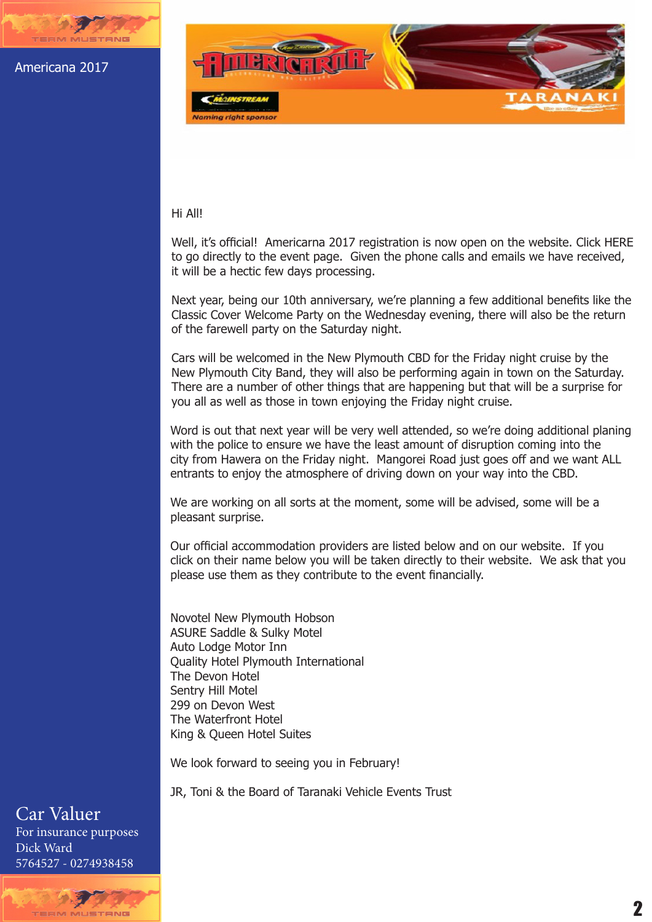Americana 2017



#### Hi All!

Well, it's official! Americarna 2017 registration is now open on the website. Click HERE to go directly to the event page. Given the phone calls and emails we have received, it will be a hectic few days processing.

Next year, being our 10th anniversary, we're planning a few additional benefits like the Classic Cover Welcome Party on the Wednesday evening, there will also be the return of the farewell party on the Saturday night.

Cars will be welcomed in the New Plymouth CBD for the Friday night cruise by the New Plymouth City Band, they will also be performing again in town on the Saturday. There are a number of other things that are happening but that will be a surprise for you all as well as those in town enjoying the Friday night cruise.

Word is out that next year will be very well attended, so we're doing additional planing with the police to ensure we have the least amount of disruption coming into the city from Hawera on the Friday night. Mangorei Road just goes off and we want ALL entrants to enjoy the atmosphere of driving down on your way into the CBD.

We are working on all sorts at the moment, some will be advised, some will be a pleasant surprise.

Our official accommodation providers are listed below and on our website. If you click on their name below you will be taken directly to their website. We ask that you please use them as they contribute to the event financially.

Novotel New Plymouth Hobson ASURE Saddle & Sulky Motel Auto Lodge Motor Inn Quality Hotel Plymouth International The Devon Hotel Sentry Hill Motel 299 on Devon West The Waterfront Hotel King & Queen Hotel Suites

We look forward to seeing you in February!

JR, Toni & the Board of Taranaki Vehicle Events Trust

#### Car Valuer For insurance purposes Dick Ward 5764527 - 0274938458